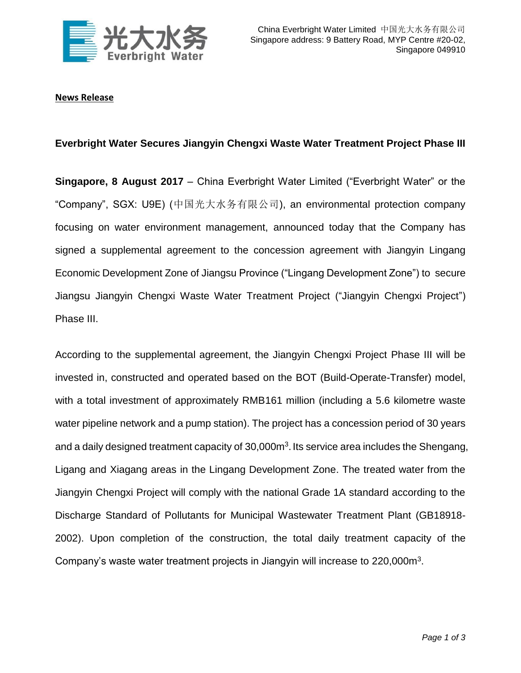

## **News Release**

## **Everbright Water Secures Jiangyin Chengxi Waste Water Treatment Project Phase III**

**Singapore, 8 August 2017** – China Everbright Water Limited ("Everbright Water" or the "Company", SGX: U9E) (中国光大水务有限公司), an environmental protection company focusing on water environment management, announced today that the Company has signed a supplemental agreement to the concession agreement with Jiangyin Lingang Economic Development Zone of Jiangsu Province ("Lingang Development Zone") to secure Jiangsu Jiangyin Chengxi Waste Water Treatment Project ("Jiangyin Chengxi Project") Phase III.

According to the supplemental agreement, the Jiangyin Chengxi Project Phase III will be invested in, constructed and operated based on the BOT (Build-Operate-Transfer) model, with a total investment of approximately RMB161 million (including a 5.6 kilometre waste water pipeline network and a pump station). The project has a concession period of 30 years and a daily designed treatment capacity of 30,000m<sup>3</sup>. Its service area includes the Shengang, Ligang and Xiagang areas in the Lingang Development Zone. The treated water from the Jiangyin Chengxi Project will comply with the national Grade 1A standard according to the Discharge Standard of Pollutants for Municipal Wastewater Treatment Plant (GB18918- 2002). Upon completion of the construction, the total daily treatment capacity of the Company's waste water treatment projects in Jiangyin will increase to 220,000m<sup>3</sup> .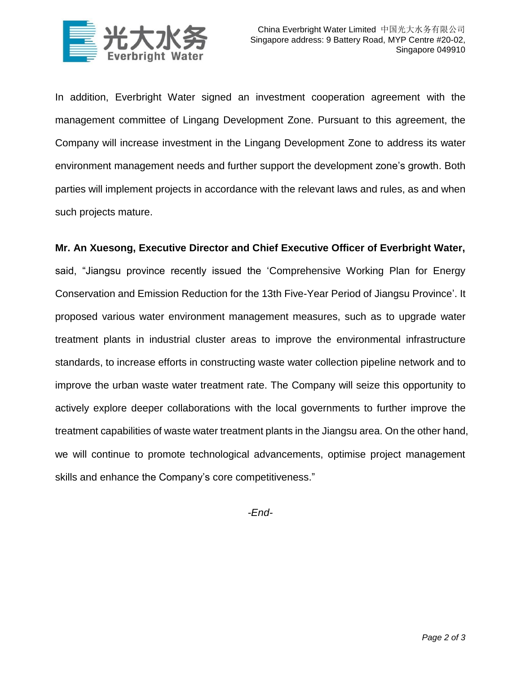

In addition, Everbright Water signed an investment cooperation agreement with the management committee of Lingang Development Zone. Pursuant to this agreement, the Company will increase investment in the Lingang Development Zone to address its water environment management needs and further support the development zone's growth. Both parties will implement projects in accordance with the relevant laws and rules, as and when such projects mature.

## **Mr. An Xuesong, Executive Director and Chief Executive Officer of Everbright Water,**

said, "Jiangsu province recently issued the 'Comprehensive Working Plan for Energy Conservation and Emission Reduction for the 13th Five-Year Period of Jiangsu Province'. It proposed various water environment management measures, such as to upgrade water treatment plants in industrial cluster areas to improve the environmental infrastructure standards, to increase efforts in constructing waste water collection pipeline network and to improve the urban waste water treatment rate. The Company will seize this opportunity to actively explore deeper collaborations with the local governments to further improve the treatment capabilities of waste water treatment plants in the Jiangsu area. On the other hand, we will continue to promote technological advancements, optimise project management skills and enhance the Company's core competitiveness."

*-End-*